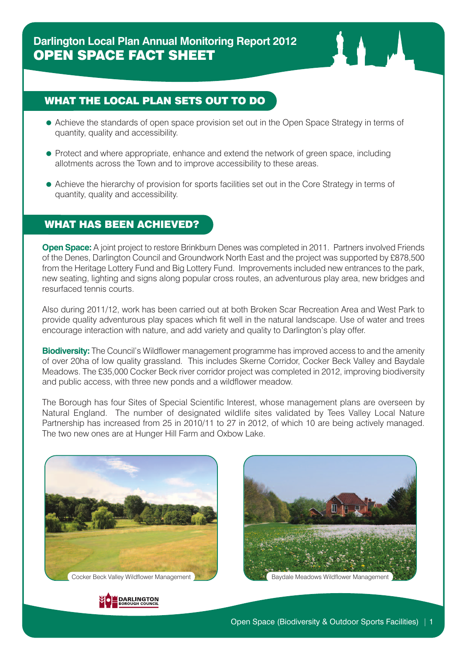# WHAT THE LOCAL PLAN SETS OUT TO DO

- Achieve the standards of open space provision set out in the Open Space Strategy in terms of quantity, quality and accessibility.
- Protect and where appropriate, enhance and extend the network of green space, including allotments across the Town and to improve accessibility to these areas.
- Achieve the hierarchy of provision for sports facilities set out in the Core Strategy in terms of quantity, quality and accessibility.

### WHAT HAS BEEN ACHIEVED?

**Open Space:** A joint project to restore Brinkburn Denes was completed in 2011. Partners involved Friends of the Denes, Darlington Council and Groundwork North East and the project was supported by £878,500 from the Heritage Lottery Fund and Big Lottery Fund. Improvements included new entrances to the park, new seating, lighting and signs along popular cross routes, an adventurous play area, new bridges and resurfaced tennis courts.

Also during 2011/12, work has been carried out at both Broken Scar Recreation Area and West Park to provide quality adventurous play spaces which fit well in the natural landscape. Use of water and trees encourage interaction with nature, and add variety and quality to Darlington's play offer.

**Biodiversity:** The Council's Wildflower management programme has improved access to and the amenity of over 20ha of low quality grassland. This includes Skerne Corridor, Cocker Beck Valley and Baydale Meadows. The £35,000 Cocker Beck river corridor project was completed in 2012, improving biodiversity and public access, with three new ponds and a wildflower meadow.

The Borough has four Sites of Special Scientific Interest, whose management plans are overseen by Natural England. The number of designated wildlife sites validated by Tees Valley Local Nature Partnership has increased from 25 in 2010/11 to 27 in 2012, of which 10 are being actively managed. The two new ones are at Hunger Hill Farm and Oxbow Lake.



Cocker Beck Valley Wildflower Management Baydale Meadows Wildflower Management Baydale Meadows Wildflower Management



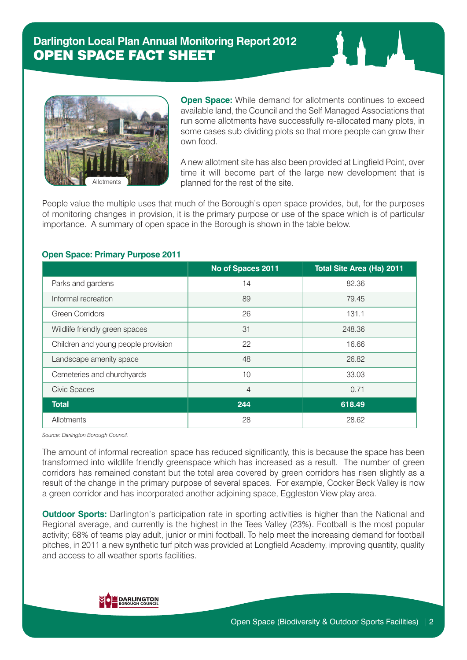

**Open Space:** While demand for allotments continues to exceed available land, the Council and the Self Managed Associations that run some allotments have successfully re-allocated many plots, in some cases sub dividing plots so that more people can grow their own food.

A new allotment site has also been provided at Lingfield Point, over time it will become part of the large new development that is planned for the rest of the site.

People value the multiple uses that much of the Borough's open space provides, but, for the purposes of monitoring changes in provision, it is the primary purpose or use of the space which is of particular importance. A summary of open space in the Borough is shown in the table below.

#### **Open Space: Primary Purpose 2011**

|                                     | No of Spaces 2011 | Total Site Area (Ha) 2011 |
|-------------------------------------|-------------------|---------------------------|
| Parks and gardens                   | 14                | 82.36                     |
| Informal recreation                 | 89                | 79.45                     |
| <b>Green Corridors</b>              | 26                | 131.1                     |
| Wildlife friendly green spaces      | 31                | 248.36                    |
| Children and young people provision | 22                | 16.66                     |
| Landscape amenity space             | 48                | 26.82                     |
| Cemeteries and churchyards          | 10                | 33.03                     |
| <b>Civic Spaces</b>                 | 4                 | 0.71                      |
| <b>Total</b>                        | 244               | 618.49                    |
| Allotments                          | 28                | 28.62                     |

*Source: Darlington Borough Council.*

The amount of informal recreation space has reduced significantly, this is because the space has been transformed into wildlife friendly greenspace which has increased as a result. The number of green corridors has remained constant but the total area covered by green corridors has risen slightly as a result of the change in the primary purpose of several spaces. For example, Cocker Beck Valley is now a green corridor and has incorporated another adjoining space, Eggleston View play area.

**Outdoor Sports:** Darlington's participation rate in sporting activities is higher than the National and Regional average, and currently is the highest in the Tees Valley (23%). Football is the most popular activity; 68% of teams play adult, junior or mini football. To help meet the increasing demand for football pitches, in 2011 a new synthetic turf pitch was provided at Longfield Academy, improving quantity, quality and access to all weather sports facilities.

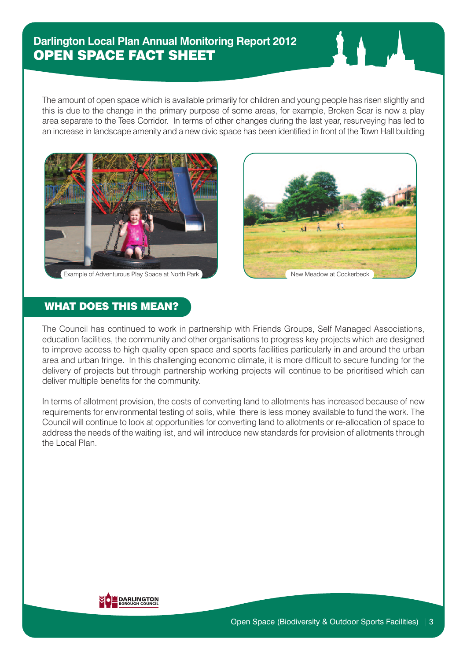The amount of open space which is available primarily for children and young people has risen slightly and this is due to the change in the primary purpose of some areas, for example, Broken Scar is now a play area separate to the Tees Corridor. In terms of other changes during the last year, resurveying has led to an increase in landscape amenity and a new civic space has been identified in front of the Town Hall building



Example of Adventurous Play Space at North Park New Meadow at Cockerbeck



# WHAT DOES THIS MEAN?

The Council has continued to work in partnership with Friends Groups, Self Managed Associations, education facilities, the community and other organisations to progress key projects which are designed to improve access to high quality open space and sports facilities particularly in and around the urban area and urban fringe. In this challenging economic climate, it is more difficult to secure funding for the delivery of projects but through partnership working projects will continue to be prioritised which can deliver multiple benefits for the community.

In terms of allotment provision, the costs of converting land to allotments has increased because of new requirements for environmental testing of soils, while there is less money available to fund the work. The Council will continue to look at opportunities for converting land to allotments or re-allocation of space to address the needs of the waiting list, and will introduce new standards for provision of allotments through the Local Plan.